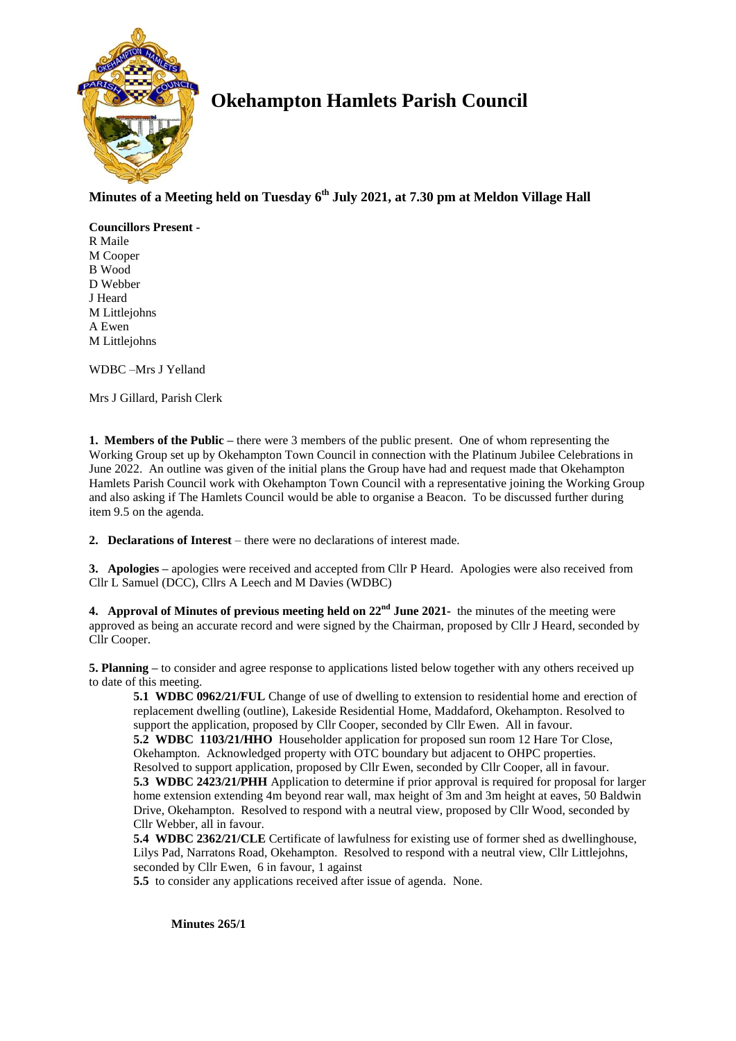

# **Okehampton Hamlets Parish Council**

## **Minutes of a Meeting held on Tuesday 6 th July 2021, at 7.30 pm at Meldon Village Hall**

**Councillors Present -** R Maile M Cooper B Wood D Webber J Heard M Littlejohns A Ewen M Littlejohns

WDBC –Mrs J Yelland

Mrs J Gillard, Parish Clerk

**1. Members of the Public –** there were 3 members of the public present. One of whom representing the Working Group set up by Okehampton Town Council in connection with the Platinum Jubilee Celebrations in June 2022. An outline was given of the initial plans the Group have had and request made that Okehampton Hamlets Parish Council work with Okehampton Town Council with a representative joining the Working Group and also asking if The Hamlets Council would be able to organise a Beacon. To be discussed further during item 9.5 on the agenda.

**2. Declarations of Interest** – there were no declarations of interest made.

**3. Apologies –** apologies were received and accepted from Cllr P Heard. Apologies were also received from Cllr L Samuel (DCC), Cllrs A Leech and M Davies (WDBC)

**4. Approval of Minutes of previous meeting held on 22nd June 2021-** the minutes of the meeting were approved as being an accurate record and were signed by the Chairman, proposed by Cllr J Heard, seconded by Cllr Cooper.

**5. Planning –** to consider and agree response to applications listed below together with any others received up to date of this meeting.

**5.1 WDBC 0962/21/FUL** Change of use of dwelling to extension to residential home and erection of replacement dwelling (outline), Lakeside Residential Home, Maddaford, Okehampton. Resolved to support the application, proposed by Cllr Cooper, seconded by Cllr Ewen. All in favour. **5.2 WDBC 1103/21/HHO** Householder application for proposed sun room 12 Hare Tor Close, Okehampton. Acknowledged property with OTC boundary but adjacent to OHPC properties. Resolved to support application, proposed by Cllr Ewen, seconded by Cllr Cooper, all in favour. **5.3 WDBC 2423/21/PHH** Application to determine if prior approval is required for proposal for larger home extension extending 4m beyond rear wall, max height of 3m and 3m height at eaves, 50 Baldwin Drive, Okehampton. Resolved to respond with a neutral view, proposed by Cllr Wood, seconded by Cllr Webber, all in favour.

**5.4 WDBC 2362/21/CLE** Certificate of lawfulness for existing use of former shed as dwellinghouse, Lilys Pad, Narratons Road, Okehampton. Resolved to respond with a neutral view, Cllr Littlejohns, seconded by Cllr Ewen, 6 in favour, 1 against

**5.5** to consider any applications received after issue of agenda. None.

**Minutes 265/1**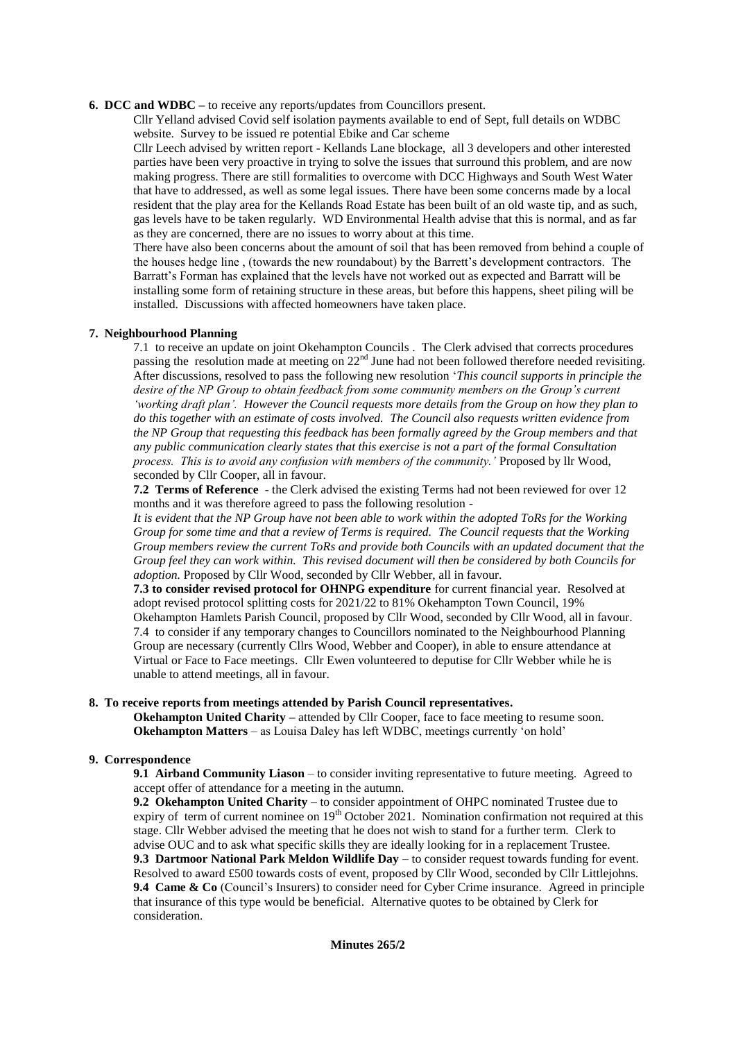#### **6. DCC and WDBC –** to receive any reports/updates from Councillors present.

Cllr Yelland advised Covid self isolation payments available to end of Sept, full details on WDBC website. Survey to be issued re potential Ebike and Car scheme

Cllr Leech advised by written report - Kellands Lane blockage, all 3 developers and other interested parties have been very proactive in trying to solve the issues that surround this problem, and are now making progress. There are still formalities to overcome with DCC Highways and South West Water that have to addressed, as well as some legal issues. There have been some concerns made by a local resident that the play area for the Kellands Road Estate has been built of an old waste tip, and as such, gas levels have to be taken regularly. WD Environmental Health advise that this is normal, and as far as they are concerned, there are no issues to worry about at this time.

There have also been concerns about the amount of soil that has been removed from behind a couple of the houses hedge line , (towards the new roundabout) by the Barrett's development contractors. The Barratt's Forman has explained that the levels have not worked out as expected and Barratt will be installing some form of retaining structure in these areas, but before this happens, sheet piling will be installed. Discussions with affected homeowners have taken place.

### **7. Neighbourhood Planning**

7.1 to receive an update on joint Okehampton Councils . The Clerk advised that corrects procedures passing the resolution made at meeting on  $22<sup>nd</sup>$  June had not been followed therefore needed revisiting. After discussions, resolved to pass the following new resolution '*This council supports in principle the desire of the NP Group to obtain feedback from some community members on the Group's current 'working draft plan'. However the Council requests more details from the Group on how they plan to do this together with an estimate of costs involved. The Council also requests written evidence from the NP Group that requesting this feedback has been formally agreed by the Group members and that any public communication clearly states that this exercise is not a part of the formal Consultation process. This is to avoid any confusion with members of the community.'* Proposed by llr Wood, seconded by Cllr Cooper, all in favour.

**7.2 Terms of Reference** - the Clerk advised the existing Terms had not been reviewed for over 12 months and it was therefore agreed to pass the following resolution -

*It is evident that the NP Group have not been able to work within the adopted ToRs for the Working Group for some time and that a review of Terms is required. The Council requests that the Working Group members review the current ToRs and provide both Councils with an updated document that the Group feel they can work within. This revised document will then be considered by both Councils for adoption.* Proposed by Cllr Wood, seconded by Cllr Webber, all in favour.

**7.3 to consider revised protocol for OHNPG expenditure** for current financial year. Resolved at adopt revised protocol splitting costs for 2021/22 to 81% Okehampton Town Council, 19% Okehampton Hamlets Parish Council, proposed by Cllr Wood, seconded by Cllr Wood, all in favour. 7.4 to consider if any temporary changes to Councillors nominated to the Neighbourhood Planning Group are necessary (currently Cllrs Wood, Webber and Cooper), in able to ensure attendance at Virtual or Face to Face meetings. Cllr Ewen volunteered to deputise for Cllr Webber while he is unable to attend meetings, all in favour.

#### **8. To receive reports from meetings attended by Parish Council representatives.**

**Okehampton United Charity –** attended by Cllr Cooper, face to face meeting to resume soon. **Okehampton Matters** – as Louisa Daley has left WDBC, meetings currently 'on hold'

#### **9. Correspondence**

**9.1 Airband Community Liason** – to consider inviting representative to future meeting. Agreed to accept offer of attendance for a meeting in the autumn.

**9.2 Okehampton United Charity** – to consider appointment of OHPC nominated Trustee due to expiry of term of current nominee on  $19<sup>th</sup>$  October 2021. Nomination confirmation not required at this stage. Cllr Webber advised the meeting that he does not wish to stand for a further term. Clerk to advise OUC and to ask what specific skills they are ideally looking for in a replacement Trustee. **9.3 Dartmoor National Park Meldon Wildlife Day** – to consider request towards funding for event. Resolved to award £500 towards costs of event, proposed by Cllr Wood, seconded by Cllr Littlejohns. **9.4 Came & Co** (Council's Insurers) to consider need for Cyber Crime insurance. Agreed in principle that insurance of this type would be beneficial. Alternative quotes to be obtained by Clerk for consideration.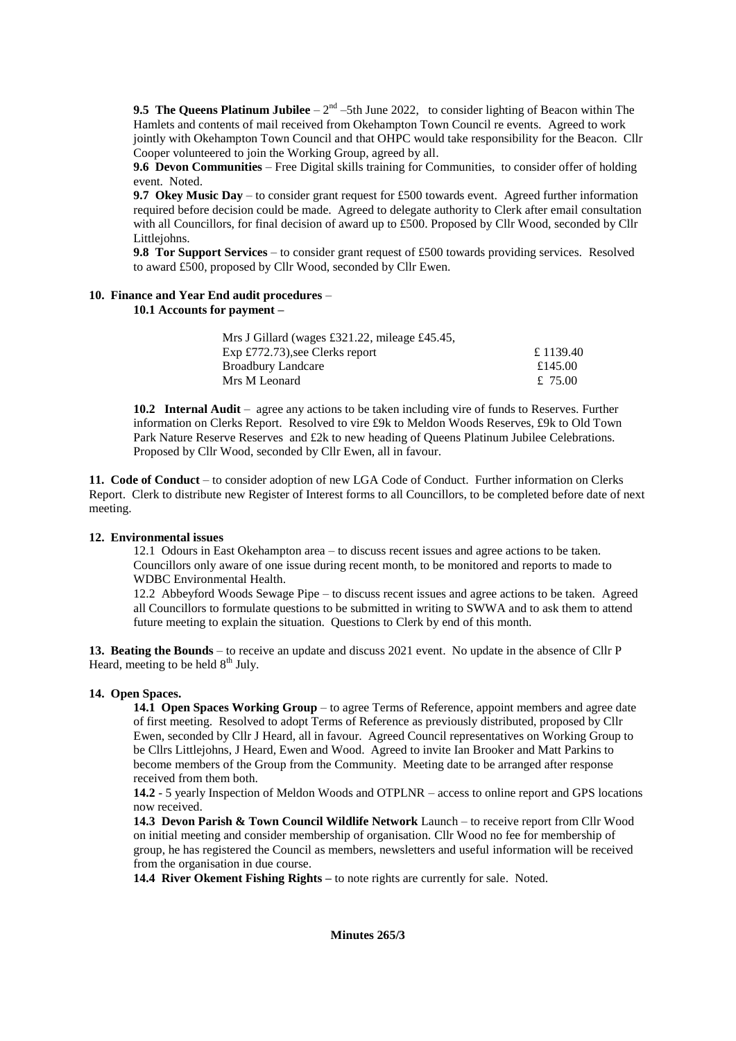**9.5 The Queens Platinum Jubilee**  $-2^{nd}$  –5th June 2022, to consider lighting of Beacon within The Hamlets and contents of mail received from Okehampton Town Council re events. Agreed to work jointly with Okehampton Town Council and that OHPC would take responsibility for the Beacon. Cllr Cooper volunteered to join the Working Group, agreed by all.

**9.6 Devon Communities** – Free Digital skills training for Communities, to consider offer of holding event. Noted.

**9.7 Okey Music Day** – to consider grant request for £500 towards event. Agreed further information required before decision could be made. Agreed to delegate authority to Clerk after email consultation with all Councillors, for final decision of award up to £500. Proposed by Cllr Wood, seconded by Cllr Littlejohns.

**9.8 Tor Support Services** – to consider grant request of £500 towards providing services. Resolved to award £500, proposed by Cllr Wood, seconded by Cllr Ewen.

## **10. Finance and Year End audit procedures** –

**10.1 Accounts for payment –**

| Mrs J Gillard (wages £321.22, mileage £45.45, |           |
|-----------------------------------------------|-----------|
| $Exp \pounds772.73$ , see Clerks report       | £ 1139.40 |
| <b>Broadbury Landcare</b>                     | £145.00   |
| Mrs M Leonard                                 | £ 75.00   |

**10.2 Internal Audit** – agree any actions to be taken including vire of funds to Reserves. Further information on Clerks Report. Resolved to vire £9k to Meldon Woods Reserves, £9k to Old Town Park Nature Reserve Reserves and £2k to new heading of Queens Platinum Jubilee Celebrations. Proposed by Cllr Wood, seconded by Cllr Ewen, all in favour.

**11. Code of Conduct** – to consider adoption of new LGA Code of Conduct. Further information on Clerks Report. Clerk to distribute new Register of Interest forms to all Councillors, to be completed before date of next meeting.

### **12. Environmental issues**

12.1 Odours in East Okehampton area – to discuss recent issues and agree actions to be taken. Councillors only aware of one issue during recent month, to be monitored and reports to made to WDBC Environmental Health.

12.2 Abbeyford Woods Sewage Pipe – to discuss recent issues and agree actions to be taken. Agreed all Councillors to formulate questions to be submitted in writing to SWWA and to ask them to attend future meeting to explain the situation. Questions to Clerk by end of this month.

**13. Beating the Bounds** – to receive an update and discuss 2021 event. No update in the absence of Cllr P Heard, meeting to be held  $8<sup>th</sup>$  July.

### **14. Open Spaces.**

**14.1 Open Spaces Working Group** – to agree Terms of Reference, appoint members and agree date of first meeting. Resolved to adopt Terms of Reference as previously distributed, proposed by Cllr Ewen, seconded by Cllr J Heard, all in favour. Agreed Council representatives on Working Group to be Cllrs Littlejohns, J Heard, Ewen and Wood. Agreed to invite Ian Brooker and Matt Parkins to become members of the Group from the Community. Meeting date to be arranged after response received from them both.

**14.2** - 5 yearly Inspection of Meldon Woods and OTPLNR – access to online report and GPS locations now received.

**14.3 Devon Parish & Town Council Wildlife Network** Launch – to receive report from Cllr Wood on initial meeting and consider membership of organisation. Cllr Wood no fee for membership of group, he has registered the Council as members, newsletters and useful information will be received from the organisation in due course.

**14.4 River Okement Fishing Rights –** to note rights are currently for sale. Noted.